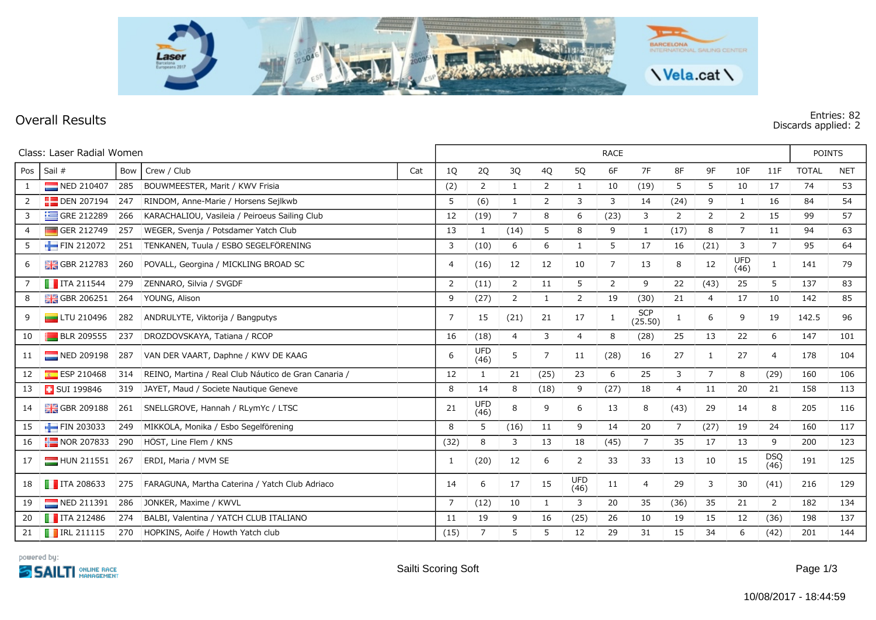

## **Overall Results**

## **Discards applied: 2**

| Class: Laser Radial Women |                            |     |                                                      |     | <b>RACE</b>    |                    |                |                |                    |      |                       |                |                |                    |                | <b>POINTS</b> |            |
|---------------------------|----------------------------|-----|------------------------------------------------------|-----|----------------|--------------------|----------------|----------------|--------------------|------|-----------------------|----------------|----------------|--------------------|----------------|---------------|------------|
| Pos                       | Sail #                     | Bow | Crew / Club                                          | Cat | 1Q             | 2Q                 | 3Q             | 4Q             | 5Q                 | 6F   | 7F                    | 8F             | 9F             | 10F                | 11F            | <b>TOTAL</b>  | <b>NET</b> |
| 1                         | NED 210407                 | 285 | BOUWMEESTER, Marit / KWV Frisia                      |     | (2)            | $\overline{2}$     | $\mathbf{1}$   | $\overline{2}$ | 1                  | 10   | (19)                  | 5              | 5              | 10                 | 17             | 74            | 53         |
| 2                         | $\Box$ DEN 207194          | 247 | RINDOM, Anne-Marie / Horsens Sejlkwb                 |     | 5              | (6)                | $\mathbf{1}$   | $\overline{2}$ | 3                  | 3    | 14                    | (24)           | 9              | $\mathbf{1}$       | 16             | 84            | 54         |
| 3                         | GRE 212289                 | 266 | KARACHALIOU, Vasileia / Peiroeus Sailing Club        |     | 12             | (19)               | $\overline{7}$ | 8              | 6                  | (23) | 3                     | $\overline{2}$ | $\overline{2}$ | $\overline{2}$     | 15             | 99            | 57         |
| $\overline{4}$            | GER 212749                 | 257 | WEGER, Svenja / Potsdamer Yatch Club                 |     | 13             | 1                  | (14)           | 5              | 8                  | 9    | 1                     | (17)           | 8              | $\overline{7}$     | 11             | 94            | 63         |
| 5                         | FIN 212072                 | 251 | TENKANEN, Tuula / ESBO SEGELFÖRENING                 |     | 3              | (10)               | 6              | 6              | 1                  | 5    | 17                    | 16             | (21)           | 3                  | 7              | 95            | 64         |
| 6                         | <b>H</b> GBR 212783        | 260 | POVALL, Georgina / MICKLING BROAD SC                 |     | 4              | (16)               | 12             | 12             | 10                 | 7    | 13                    | 8              | 12             | <b>UFD</b><br>(46) | 1              | 141           | 79         |
|                           | $\blacksquare$ ITA 211544  | 279 | ZENNARO, Silvia / SVGDF                              |     | 2              | (11)               | $\overline{2}$ | 11             | 5                  | 2    | 9                     | 22             | (43)           | 25                 | 5              | 137           | 83         |
| 8                         | $\frac{1}{200}$ GBR 206251 | 264 | YOUNG, Alison                                        |     | 9              | (27)               | $\overline{2}$ | $\mathbf{1}$   | $\overline{2}$     | 19   | (30)                  | 21             | 4              | 17                 | 10             | 142           | 85         |
| 9                         | $L$ TU 210496              | 282 | ANDRULYTE, Viktorija / Bangputys                     |     | $\overline{7}$ | 15                 | (21)           | 21             | 17                 | 1    | <b>SCP</b><br>(25.50) | $\mathbf{1}$   | 6              | 9                  | 19             | 142.5         | 96         |
| 10                        | <b>BLR 209555</b>          | 237 | DROZDOVSKAYA, Tatiana / RCOP                         |     | 16             | (18)               | 4              | 3              | 4                  | 8    | (28)                  | 25             | 13             | 22                 | 6              | 147           | 101        |
| 11                        | $\blacksquare$ NED 209198  | 287 | VAN DER VAART, Daphne / KWV DE KAAG                  |     | 6              | <b>UFD</b><br>(46) | 5              | 7              | 11                 | (28) | 16                    | 27             | 1              | 27                 | $\overline{4}$ | 178           | 104        |
| 12                        | ESP 210468                 | 314 | REINO, Martina / Real Club Náutico de Gran Canaria / |     | 12             | 1                  | 21             | (25)           | 23                 | 6    | 25                    | 3              | $\overline{7}$ | 8                  | (29)           | 160           | 106        |
| 13                        | <b>B</b> SUI 199846        | 319 | JAYET, Maud / Societe Nautique Geneve                |     | 8              | 14                 | 8              | (18)           | 9                  | (27) | 18                    | 4              | 11             | 20                 | 21             | 158           | 113        |
| 14                        | <b>H</b> GBR 209188        | 261 | SNELLGROVE, Hannah / RLymYc / LTSC                   |     | 21             | <b>UFD</b><br>(46) | 8              | 9              | 6                  | 13   | 8                     | (43)           | 29             | 14                 | 8              | 205           | 116        |
| 15                        | $\blacksquare$ FIN 203033  | 249 | MIKKOLA, Monika / Esbo Segelförening                 |     | 8              | 5                  | (16)           | 11             | 9                  | 14   | 20                    | $\overline{7}$ | (27)           | 19                 | 24             | 160           | 117        |
| 16                        | $NOR$ 207833               | 290 | HÖST, Line Flem / KNS                                |     | (32)           | 8                  | 3              | 13             | 18                 | (45) | 7                     | 35             | 17             | 13                 | 9              | 200           | 123        |
| 17                        | HUN 211551                 | 267 | ERDI, Maria / MVM SE                                 |     | 1              | (20)               | 12             | 6              | 2                  | 33   | 33                    | 13             | 10             | 15                 | DSQ<br>(46)    | 191           | 125        |
| 18                        | $\blacksquare$ ITA 208633  | 275 | FARAGUNA, Martha Caterina / Yatch Club Adriaco       |     | 14             | 6                  | 17             | 15             | <b>UFD</b><br>(46) | 11   | 4                     | 29             | 3              | 30                 | (41)           | 216           | 129        |
| 19                        | NED 211391                 | 286 | JONKER, Maxime / KWVL                                |     | $\overline{7}$ | (12)               | 10             |                | 3                  | 20   | 35                    | (36)           | 35             | 21                 | $\overline{2}$ | 182           | 134        |
| 20                        | $\blacksquare$ ITA 212486  | 274 | BALBI, Valentina / YATCH CLUB ITALIANO               |     | 11             | 19                 | 9              | 16             | (25)               | 26   | 10                    | 19             | 15             | 12                 | (36)           | 198           | 137        |
| 21                        | $\blacksquare$ IRL 211115  |     | 270 HOPKINS, Aoife / Howth Yatch club                |     | (15)           | $\overline{7}$     | 5              | 5              | 12                 | 29   | 31                    | 15             | 34             | 6                  | (42)           | 201           | 144        |

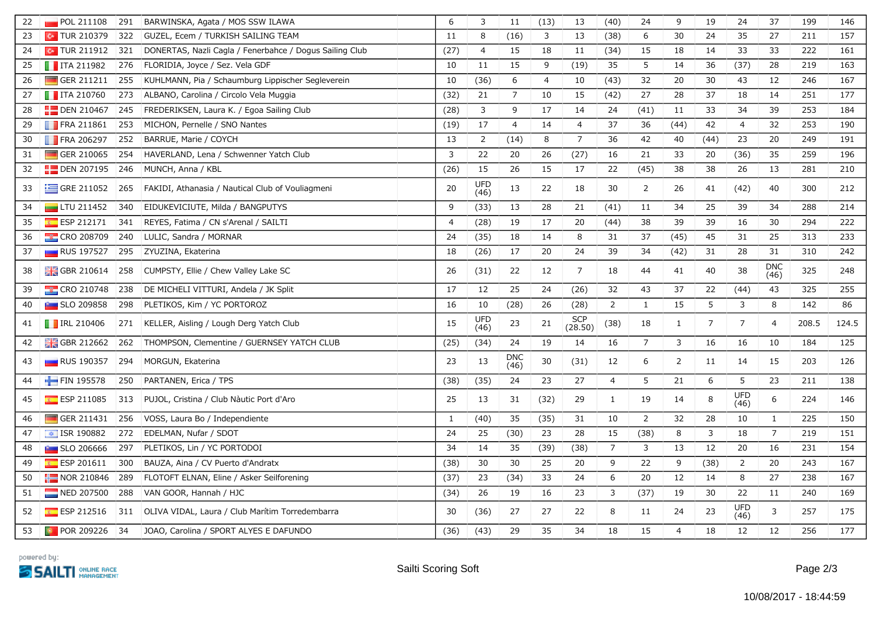| 22 | $\blacksquare$ POL 211108    | 291 | BARWINSKA, Agata / MOS SSW ILAWA                        | 6              | 3              | 11                 | (13)           | 13                    | (40)           | 24             | 9              | 19             | 24                 | 37                 | 199   | 146   |
|----|------------------------------|-----|---------------------------------------------------------|----------------|----------------|--------------------|----------------|-----------------------|----------------|----------------|----------------|----------------|--------------------|--------------------|-------|-------|
| 23 | $\boxed{\bullet}$ TUR 210379 |     | 322 GUZEL, Ecem / TURKISH SAILING TEAM                  | 11             | 8              | (16)               | 3              | 13                    | (38)           | 6              | 30             | 24             | 35                 | 27                 | 211   | 157   |
| 24 | $\sim$ TUR 211912            | 321 | DONERTAS, Nazli Cagla / Fenerbahce / Dogus Sailing Club | (27)           | $\overline{4}$ | 15                 | 18             | 11                    | (34)           | 15             | 18             | 14             | 33                 | 33                 | 222   | 161   |
| 25 | $\blacksquare$ ITA 211982    | 276 | FLORIDIA, Joyce / Sez. Vela GDF                         | 10             | 11             | 15                 | 9              | (19)                  | 35             | 5              | 14             | 36             | (37)               | 28                 | 219   | 163   |
| 26 | GER 211211                   | 255 | KUHLMANN, Pia / Schaumburg Lippischer Segleverein       | 10             | (36)           | 6                  | $\overline{4}$ | 10                    | (43)           | 32             | 20             | 30             | 43                 | 12                 | 246   | 167   |
| 27 | $\blacksquare$ ITA 210760    | 273 | ALBANO, Carolina / Circolo Vela Muggia                  | (32)           | 21             | $\overline{7}$     | 10             | 15                    | (42)           | 27             | 28             | 37             | 18                 | 14                 | 251   | 177   |
| 28 | <b>DEN 210467</b>            | 245 | FREDERIKSEN, Laura K. / Egoa Sailing Club               | (28)           | 3              | 9                  | 17             | 14                    | 24             | (41)           | 11             | 33             | 34                 | 39                 | 253   | 184   |
| 29 | <b>FRA 211861</b>            | 253 | MICHON, Pernelle / SNO Nantes                           | (19)           | 17             | $\overline{4}$     | 14             | $\overline{4}$        | 37             | 36             | (44)           | 42             | $\overline{4}$     | 32                 | 253   | 190   |
| 30 | $\blacksquare$ FRA 206297    | 252 | BARRUE, Marie / COYCH                                   | 13             | $\overline{2}$ | (14)               | 8              | $\overline{7}$        | 36             | 42             | 40             | (44)           | 23                 | 20                 | 249   | 191   |
| 31 | GER 210065                   | 254 | HAVERLAND, Lena / Schwenner Yatch Club                  | 3              | 22             | 20                 | 26             | (27)                  | 16             | 21             | 33             | 20             | (36)               | 35                 | 259   | 196   |
| 32 | $\frac{1}{2}$ DEN 207195 246 |     | MUNCH, Anna / KBL                                       | (26)           | 15             | 26                 | 15             | 17                    | 22             | (45)           | 38             | 38             | 26                 | 13                 | 281   | 210   |
| 33 | $\equiv$ GRE 211052          | 265 | FAKIDI, Athanasia / Nautical Club of Vouliagmeni        | 20             | UFD<br>(46)    | 13                 | 22             | 18                    | 30             | $\overline{2}$ | 26             | 41             | (42)               | 40                 | 300   | 212   |
| 34 | $\Box$ LTU 211452            | 340 | EIDUKEVICIUTE, Milda / BANGPUTYS                        | 9              | (33)           | 13                 | 28             | 21                    | (41)           | 11             | 34             | 25             | 39                 | 34                 | 288   | 214   |
| 35 | ESP 212171                   | 341 | REYES, Fatima / CN s'Arenal / SAILTI                    | $\overline{4}$ | (28)           | 19                 | 17             | 20                    | (44)           | 38             | 39             | 39             | 16                 | 30                 | 294   | 222   |
| 36 | <b>EXECTED 208709</b>        | 240 | LULIĆ, Sandra / MORNAR                                  | 24             | (35)           | 18                 | 14             | 8                     | 31             | 37             | (45)           | 45             | 31                 | 25                 | 313   | 233   |
| 37 | <b>RUS 197527</b>            | 295 | ZYUZINA, Ekaterina                                      | 18             | (26)           | 17                 | 20             | 24                    | 39             | 34             | (42)           | 31             | 28                 | 31                 | 310   | 242   |
| 38 | GBR 210614                   | 258 | CUMPSTY, Ellie / Chew Valley Lake SC                    | 26             | (31)           | 22                 | 12             | $\overline{7}$        | 18             | 44             | 41             | 40             | 38                 | <b>DNC</b><br>(46) | 325   | 248   |
| 39 | CRO 210748                   | 238 | DE MICHELI VITTURI, Andela / JK Split                   | 17             | 12             | 25                 | 24             | (26)                  | 32             | 43             | 37             | 22             | (44)               | 43                 | 325   | 255   |
| 40 | <b>Extra SLO 209858</b>      | 298 | PLETIKOS, Kim / YC PORTOROZ                             | 16             | 10             | (28)               | 26             | (28)                  | $\mathsf{2}\,$ | $\mathbf{1}$   | 15             | 5              | 3                  | 8                  | 142   | 86    |
| 41 | $\blacksquare$ IRL 210406    |     | 271 KELLER, Aisling / Lough Derg Yatch Club             | 15             | UFD<br>(46)    | 23                 | 21             | <b>SCP</b><br>(28.50) | (38)           | 18             | $\mathbf{1}$   | $\overline{7}$ | 7                  | $\overline{4}$     | 208.5 | 124.5 |
| 42 | GBR 212662                   | 262 | THOMPSON, Clementine / GUERNSEY YATCH CLUB              | (25)           | (34)           | 24                 | 19             | 14                    | 16             | $\overline{7}$ | 3              | 16             | 16                 | 10                 | 184   | 125   |
| 43 | <b>RUS</b> 190357            | 294 | MORGUN, Ekaterina                                       | 23             | 13             | <b>DNC</b><br>(46) | $30\,$         | (31)                  | 12             | 6              | $\overline{2}$ | 11             | 14                 | 15                 | 203   | 126   |
| 44 | FIN 195578                   | 250 | PARTANEN, Erica / TPS                                   | (38)           | (35)           | 24                 | 23             | 27                    | $\overline{4}$ | $\sqrt{5}$     | 21             | $\sqrt{6}$     | 5                  | 23                 | 211   | 138   |
| 45 | $E$ ESP 211085               | 313 | PUJOL, Cristina / Club Nàutic Port d'Aro                | 25             | 13             | 31                 | (32)           | 29                    | $\mathbf{1}$   | 19             | 14             | 8              | <b>UFD</b><br>(46) | 6                  | 224   | 146   |
| 46 | GER 211431                   | 256 | VOSS, Laura Bo / Independiente                          | $\mathbf{1}$   | (40)           | 35                 | (35)           | 31                    | 10             | $\overline{2}$ | 32             | 28             | 10                 | $\mathbf{1}$       | 225   | 150   |
| 47 | $\sqrt{12}$ ISR 190882       | 272 | EDELMAN, Nufar / SDOT                                   | 24             | 25             | (30)               | 23             | 28                    | 15             | (38)           | 8              | 3              | 18                 | $\overline{7}$     | 219   | 151   |
| 48 | $\blacksquare$ SLO 206666    | 297 | PLETIKOS, Lin / YC PORTODOI                             | 34             | 14             | 35                 | (39)           | (38)                  | 7              | 3              | 13             | 12             | 20                 | 16                 | 231   | 154   |
| 49 | $E$ ESP 201611               | 300 | BAUZA, Aina / CV Puerto d'Andratx                       | (38)           | 30             | 30                 | 25             | 20                    | 9              | 22             | 9              | (38)           | $\overline{2}$     | 20                 | 243   | 167   |
| 50 | $\blacksquare$ NOR 210846    | 289 | FLOTOFT ELNAN, Eline / Asker Seilforening               | (37)           | 23             | (34)               | 33             | 24                    | 6              | 20             | 12             | 14             | 8                  | 27                 | 238   | 167   |
| 51 | NED 207500                   | 288 | VAN GOOR, Hannah / HJC                                  | (34)           | 26             | 19                 | 16             | 23                    | 3              | (37)           | 19             | 30             | 22                 | 11                 | 240   | 169   |
| 52 | ESP 212516                   |     | 311 OLIVA VIDAL, Laura / Club Marítim Torredembarra     | 30             | (36)           | 27                 | 27             | 22                    | 8              | 11             | 24             | 23             | UFD<br>(46)        | 3                  | 257   | 175   |
| 53 | $\bullet$ POR 209226 34      |     | JOAO, Carolina / SPORT ALYES E DAFUNDO                  | (36)           | (43)           | 29                 | 35             | 34                    | 18             | 15             | $\overline{4}$ | 18             | 12                 | 12                 | 256   | 177   |